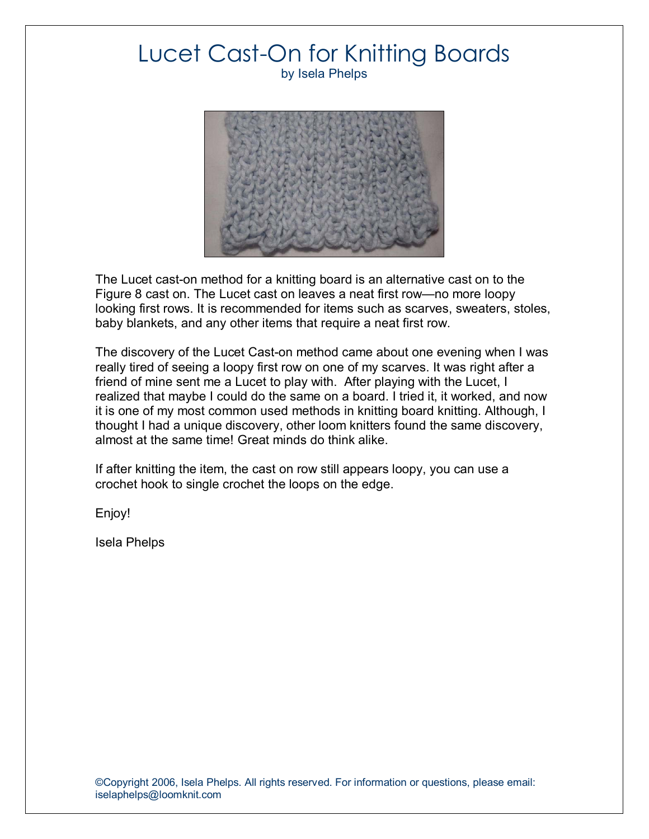

The Lucet cast-on method for a knitting board is an alternative cast on to the Figure 8 cast on. The Lucet cast on leaves a neat first row—no more loopy looking first rows. It is recommended for items such as scarves, sweaters, stoles, baby blankets, and any other items that require a neat first row.

The discovery of the Lucet Cast-on method came about one evening when I was really tired of seeing a loopy first row on one of my scarves. It was right after a friend of mine sent me a Lucet to play with. After playing with the Lucet, I realized that maybe I could do the same on a board. I tried it, it worked, and now it is one of my most common used methods in knitting board knitting. Although, I thought I had a unique discovery, other loom knitters found the same discovery, almost at the same time! Great minds do think alike.

If after knitting the item, the cast on row still appears loopy, you can use a crochet hook to single crochet the loops on the edge.

Enjoy!

Isela Phelps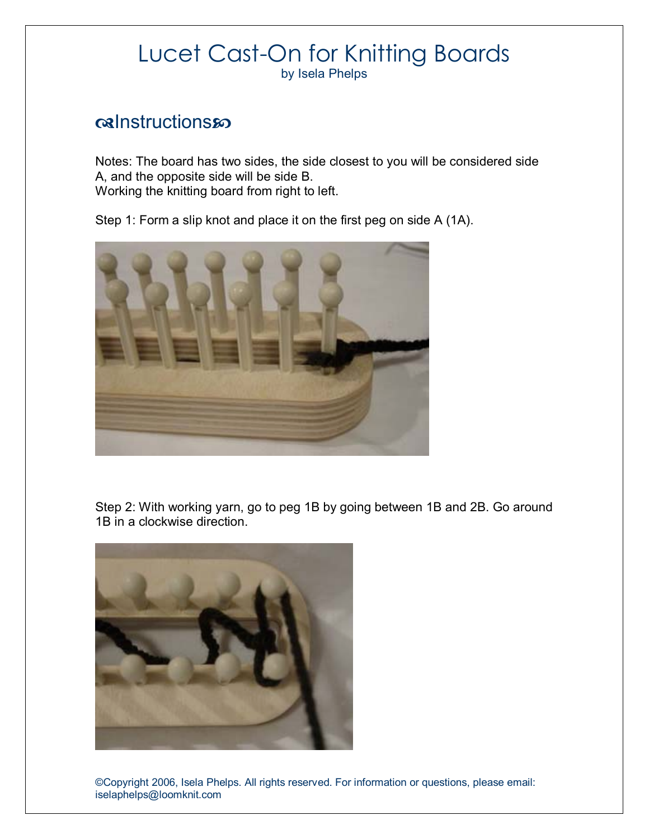### calnstructionsso

Notes: The board has two sides, the side closest to you will be considered side A, and the opposite side will be side B. Working the knitting board from right to left.

Step 1: Form a slip knot and place it on the first peg on side A (1A).



Step 2: With working yarn, go to peg 1B by going between 1B and 2B. Go around 1B in a clockwise direction.

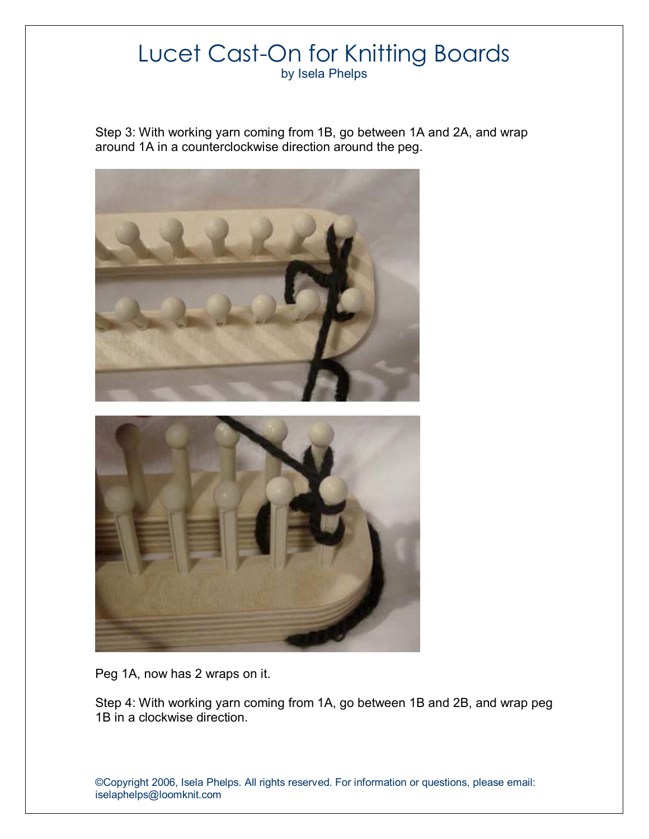Step 3: With working yarn coming from 1B, go between 1A and 2A, and wrap around 1A in a counterclockwise direction around the peg.



Peg 1A, now has 2 wraps on it.

Step 4: With working yarn coming from 1A, go between 1B and 2B, and wrap peg 1B in a clockwise direction.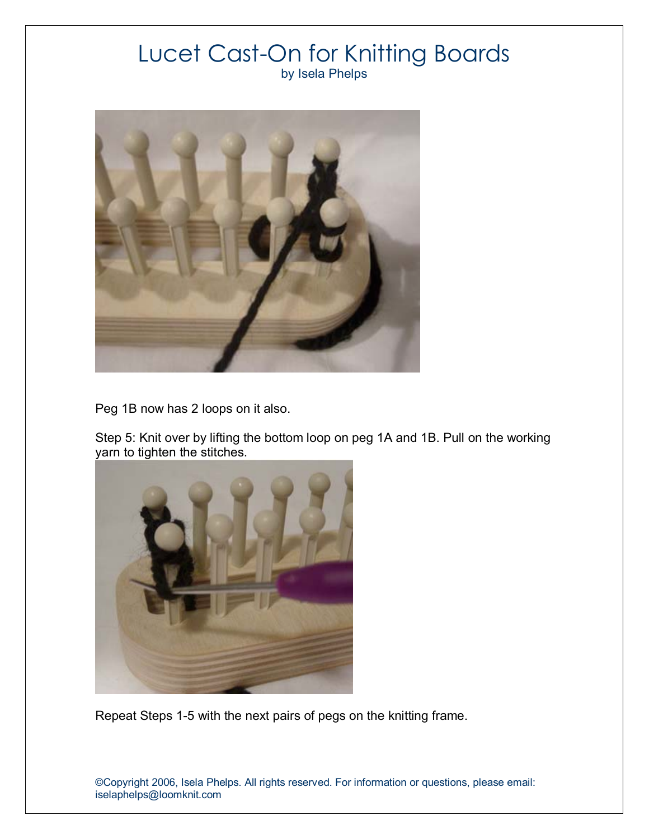

Peg 1B now has 2 loops on it also.

Step 5: Knit over by lifting the bottom loop on peg 1A and 1B. Pull on the working yarn to tighten the stitches.



Repeat Steps 1-5 with the next pairs of pegs on the knitting frame.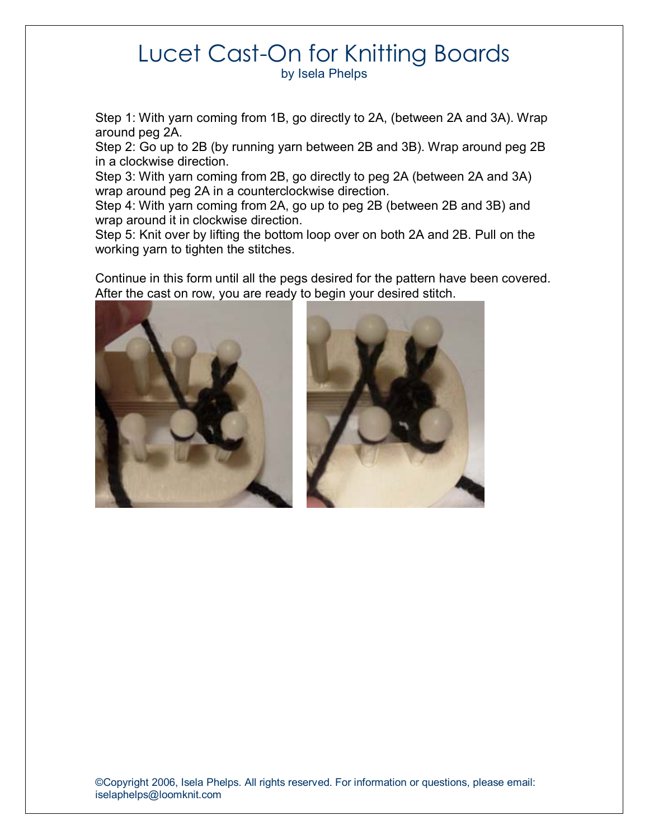Step 1: With yarn coming from 1B, go directly to 2A, (between 2A and 3A). Wrap around peg 2A.

Step 2: Go up to 2B (by running yarn between 2B and 3B). Wrap around peg 2B in a clockwise direction.

Step 3: With yarn coming from 2B, go directly to peg 2A (between 2A and 3A) wrap around peg 2A in a counterclockwise direction.

Step 4: With yarn coming from 2A, go up to peg 2B (between 2B and 3B) and wrap around it in clockwise direction.

Step 5: Knit over by lifting the bottom loop over on both 2A and 2B. Pull on the working yarn to tighten the stitches.

Continue in this form until all the pegs desired for the pattern have been covered. After the cast on row, you are ready to begin your desired stitch.